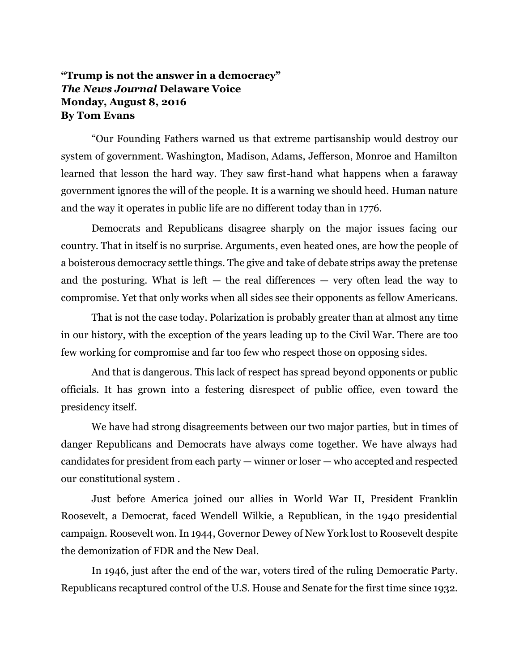## **"Trump is not the answer in a democracy"** *The News Journal* **Delaware Voice Monday, August 8, 2016 By Tom Evans**

"Our Founding Fathers warned us that extreme partisanship would destroy our system of government. Washington, Madison, Adams, Jefferson, Monroe and Hamilton learned that lesson the hard way. They saw first-hand what happens when a faraway government ignores the will of the people. It is a warning we should heed. Human nature and the way it operates in public life are no different today than in 1776.

Democrats and Republicans disagree sharply on the major issues facing our country. That in itself is no surprise. Arguments, even heated ones, are how the people of a boisterous democracy settle things. The give and take of debate strips away the pretense and the posturing. What is left  $-$  the real differences  $-$  very often lead the way to compromise. Yet that only works when all sides see their opponents as fellow Americans.

That is not the case today. Polarization is probably greater than at almost any time in our history, with the exception of the years leading up to the Civil War. There are too few working for compromise and far too few who respect those on opposing sides.

And that is dangerous. This lack of respect has spread beyond opponents or public officials. It has grown into a festering disrespect of public office, even toward the presidency itself.

We have had strong disagreements between our two major parties, but in times of danger Republicans and Democrats have always come together. We have always had candidates for president from each party — winner or loser — who accepted and respected our constitutional system .

Just before America joined our allies in World War II, President Franklin Roosevelt, a Democrat, faced Wendell Wilkie, a Republican, in the 1940 presidential campaign. Roosevelt won. In 1944, Governor Dewey of New York lost to Roosevelt despite the demonization of FDR and the New Deal.

In 1946, just after the end of the war, voters tired of the ruling Democratic Party. Republicans recaptured control of the U.S. House and Senate for the first time since 1932.